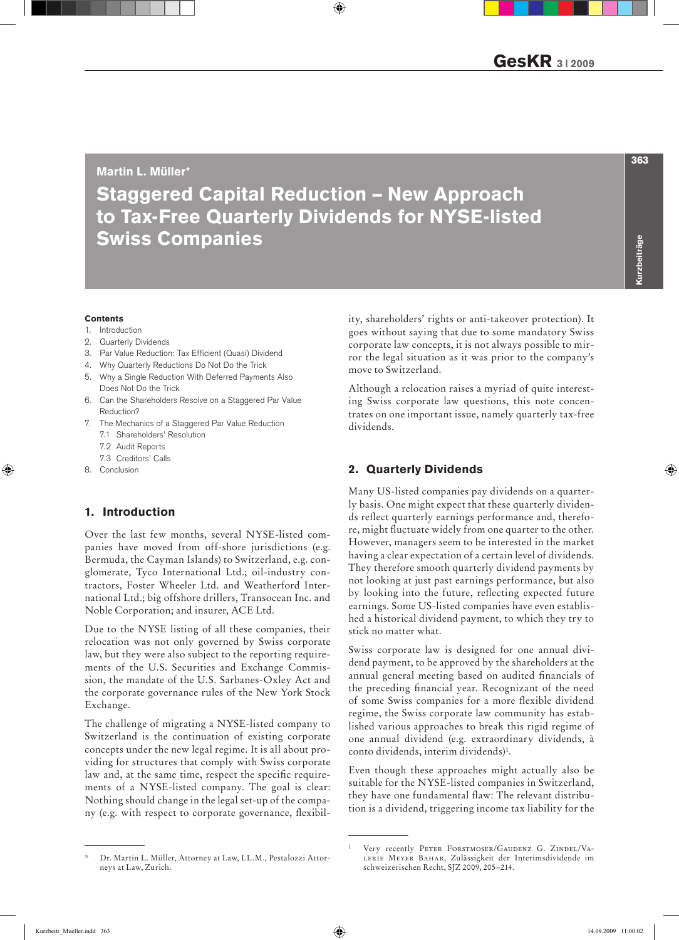## Martin L. Müller\*

# Staggered Capital Reduction – New Approach to Tax-Free Quarterly Dividends for NYSE-listed Swiss Companies

#### **Contents**

- 1. Introduction
- 2. Quarterly Dividends
- 3. Par Value Reduction: Tax Efficient (Quasi) Dividend
- 4. Why Quarterly Reductions Do Not Do the Trick
- 5. Why a Single Reduction With Deferred Payments Also Does Not Do the Trick
- 6. Can the Shareholders Resolve on a Staggered Par Value Reduction?
- 7. The Mechanics of a Staggered Par Value Reduction
	- 7.1 Shareholders' Resolution
	- 7.2 Audit Reports
	- 7.3 Creditors' Calls
- 8. Conclusion

# 1. Introduction

Over the last few months, several NYSE-listed companies have moved from off-shore jurisdictions (e.g. Bermuda, the Cayman Islands) to Switzerland, e.g. conglomerate, Tyco International Ltd.; oil-industry contractors, Foster Wheeler Ltd. and Weatherford International Ltd.; big offshore drillers, Transocean Inc. and Noble Corporation; and insurer, ACE Ltd.

Due to the NYSE listing of all these companies, their relocation was not only governed by Swiss corporate law, but they were also subject to the reporting requirements of the U.S. Securities and Exchange Commission, the mandate of the U.S. Sarbanes-Oxley Act and the corporate governance rules of the New York Stock Exchange.

The challenge of migrating a NYSE-listed company to Switzerland is the continuation of existing corporate concepts under the new legal regime. It is all about providing for structures that comply with Swiss corporate law and, at the same time, respect the specific requirements of a NYSE-listed company. The goal is clear: Nothing should change in the legal set-up of the company (e.g. with respect to corporate governance, flexibil-

Dr. Martin L. Müller, Attorney at Law, LL.M., Pestalozzi Attorneys at Law, Zurich.

ity, shareholders' rights or anti-takeover protection). It goes without saying that due to some mandatory Swiss corporate law concepts, it is not always possible to mirror the legal situation as it was prior to the company's move to Switzerland.

Although a relocation raises a myriad of quite interesting Swiss corporate law questions, this note concentrates on one important issue, namely quarterly tax-free dividends.

# 2. Quarterly Dividends

Many US-listed companies pay dividends on a quarterly basis. One might expect that these quarterly dividends reflect quarterly earnings performance and, therefore, might fluctuate widely from one quarter to the other. However, managers seem to be interested in the market having a clear expectation of a certain level of dividends. They therefore smooth quarterly dividend payments by not looking at just past earnings performance, but also by looking into the future, reflecting expected future earnings. Some US-listed companies have even established a historical dividend payment, to which they try to stick no matter what.

Swiss corporate law is designed for one annual dividend payment, to be approved by the shareholders at the annual general meeting based on audited financials of the preceding financial year. Recognizant of the need of some Swiss companies for a more flexible dividend regime, the Swiss corporate law community has established various approaches to break this rigid regime of one annual dividend (e.g. extraordinary dividends, à conto dividends, interim dividends)1.

Even though these approaches might actually also be suitable for the NYSE-listed companies in Switzerland, they have one fundamental flaw: The relevant distribution is a dividend, triggering income tax liability for the

Very recently PETER FORSTMOSER/GAUDENZ G. ZINDEL/VAlerie Meyer Bahar, Zulässigkeit der Interimsdividende im schweizerischen Recht, SJZ 2009, 205–214.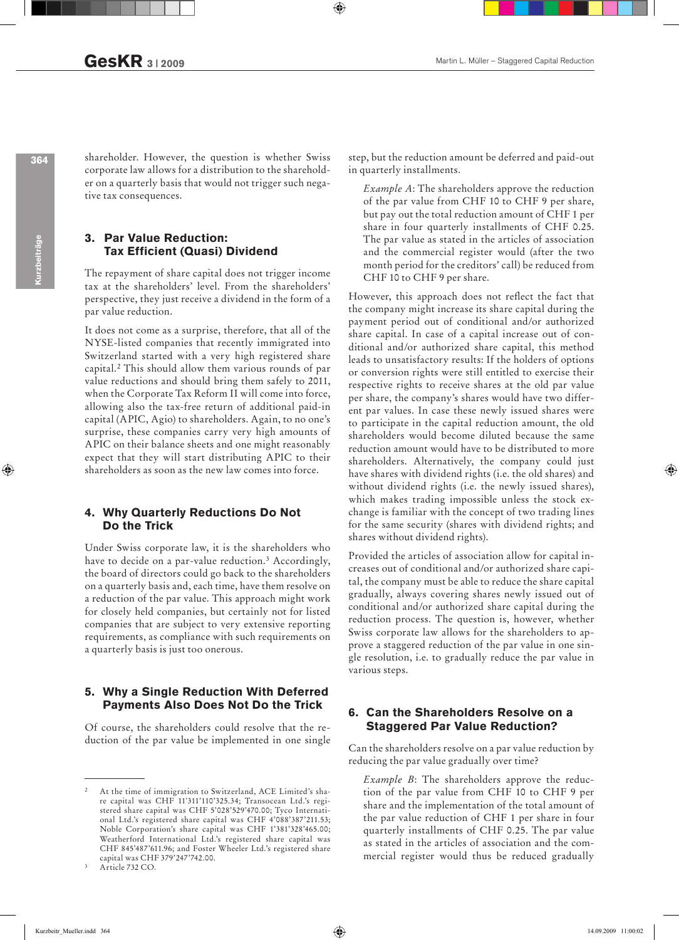shareholder. However, the question is whether Swiss corporate law allows for a distribution to the shareholder on a quarterly basis that would not trigger such negative tax consequences.

## 3. Par Value Reduction: Tax Efficient (Quasi) Dividend

The repayment of share capital does not trigger income tax at the shareholders' level. From the shareholders' perspective, they just receive a dividend in the form of a par value reduction.

It does not come as a surprise, therefore, that all of the NYSE-listed companies that recently immigrated into Switzerland started with a very high registered share capital.2 This should allow them various rounds of par value reductions and should bring them safely to 2011, when the Corporate Tax Reform II will come into force, allowing also the tax-free return of additional paid-in capital (APIC, Agio) to shareholders. Again, to no one's surprise, these companies carry very high amounts of APIC on their balance sheets and one might reasonably expect that they will start distributing APIC to their shareholders as soon as the new law comes into force.

#### 4. Why Quarterly Reductions Do Not Do the Trick

Under Swiss corporate law, it is the shareholders who have to decide on a par-value reduction.<sup>3</sup> Accordingly, the board of directors could go back to the shareholders on a quarterly basis and, each time, have them resolve on a reduction of the par value. This approach might work for closely held companies, but certainly not for listed companies that are subject to very extensive reporting requirements, as compliance with such requirements on a quarterly basis is just too onerous.

#### 5. Why a Single Reduction With Deferred Payments Also Does Not Do the Trick

Of course, the shareholders could resolve that the reduction of the par value be implemented in one single step, but the reduction amount be deferred and paid-out in quarterly installments.

*Example A*: The shareholders approve the reduction of the par value from CHF 10 to CHF 9 per share, but pay out the total reduction amount of CHF 1 per share in four quarterly installments of CHF 0.25. The par value as stated in the articles of association and the commercial register would (after the two month period for the creditors' call) be reduced from CHF 10 to CHF 9 per share.

However, this approach does not reflect the fact that the company might increase its share capital during the payment period out of conditional and/or authorized share capital. In case of a capital increase out of conditional and/or authorized share capital, this method leads to unsatisfactory results: If the holders of options or conversion rights were still entitled to exercise their respective rights to receive shares at the old par value per share, the company's shares would have two different par values. In case these newly issued shares were to participate in the capital reduction amount, the old shareholders would become diluted because the same reduction amount would have to be distributed to more shareholders. Alternatively, the company could just have shares with dividend rights (i.e. the old shares) and without dividend rights (i.e. the newly issued shares), which makes trading impossible unless the stock exchange is familiar with the concept of two trading lines for the same security (shares with dividend rights; and shares without dividend rights).

Provided the articles of association allow for capital increases out of conditional and/or authorized share capital, the company must be able to reduce the share capital gradually, always covering shares newly issued out of conditional and/or authorized share capital during the reduction process. The question is, however, whether Swiss corporate law allows for the shareholders to approve a staggered reduction of the par value in one single resolution, i.e. to gradually reduce the par value in various steps.

## 6. Can the Shareholders Resolve on a Staggered Par Value Reduction?

Can the shareholders resolve on a par value reduction by reducing the par value gradually over time?

*Example B*: The shareholders approve the reduction of the par value from CHF 10 to CHF 9 per share and the implementation of the total amount of the par value reduction of CHF 1 per share in four quarterly installments of CHF 0.25. The par value as stated in the articles of association and the commercial register would thus be reduced gradually

364

At the time of immigration to Switzerland, ACE Limited's share capital was CHF 11'311'110'325.34; Transocean Ltd.'s registered share capital was CHF 5'028'529'470.00; Tyco International Ltd.'s registered share capital was CHF 4'088'387'211.53; Noble Corporation's share capital was CHF 1'381'328'465.00; Weatherford International Ltd.'s registered share capital was CHF 845'487'611.96; and Foster Wheeler Ltd.'s registered share capital was CHF 379'247'742.00.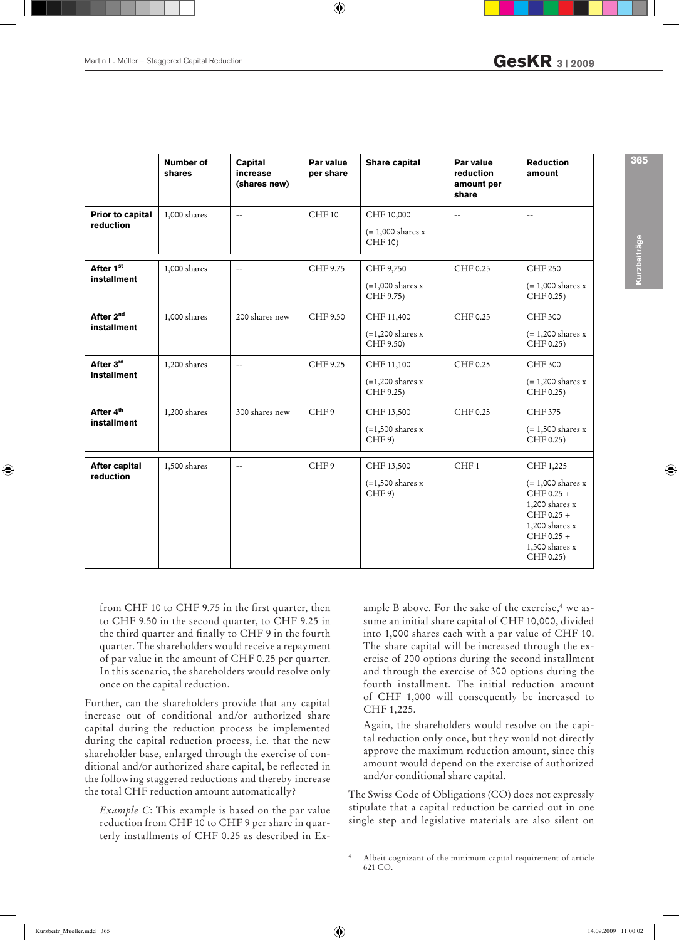|                                      | <b>Number of</b><br>shares | <b>Capital</b><br>increase<br>(shares new) | Par value<br>per share | <b>Share capital</b>                                  | Par value<br>reduction<br>amount per<br>share | <b>Reduction</b><br>amount                                                                                                                                    |
|--------------------------------------|----------------------------|--------------------------------------------|------------------------|-------------------------------------------------------|-----------------------------------------------|---------------------------------------------------------------------------------------------------------------------------------------------------------------|
| <b>Prior to capital</b><br>reduction | 1,000 shares               | $-$                                        | CHF 10                 | CHF 10,000<br>$(= 1,000$ shares x<br>CHF 10)          | $-$                                           | $\mathcal{L} =$                                                                                                                                               |
| After 1st<br>installment             | 1,000 shares               | $ -$                                       | CHF 9.75               | CHF 9,750<br>$(=1,000 \text{ shares x})$<br>CHF 9.75) | CHF 0.25                                      | <b>CHF 250</b><br>$(= 1,000$ shares x<br>CHF 0.25)                                                                                                            |
| After 2 <sup>nd</sup><br>installment | 1,000 shares               | 200 shares new                             | CHF 9.50               | CHF 11,400<br>$(=1,200$ shares x<br>CHF 9.50)         | CHF 0.25                                      | <b>CHF 300</b><br>$(= 1,200$ shares x<br>CHF 0.25)                                                                                                            |
| After 3rd<br>installment             | 1,200 shares               | $-$                                        | CHF 9.25               | CHF 11,100<br>$(=1,200$ shares x<br>CHF 9.25)         | CHF 0.25                                      | CHF 300<br>$(= 1,200$ shares x<br>CHF 0.25)                                                                                                                   |
| After 4 <sup>th</sup><br>installment | 1,200 shares               | 300 shares new                             | CHF9                   | CHF 13,500<br>$(=1,500 \text{ shares x})$<br>CHF 9)   | CHF 0.25                                      | <b>CHF 375</b><br>$(= 1,500$ shares x<br>CHF 0.25)                                                                                                            |
| <b>After capital</b><br>reduction    | 1,500 shares               | $ -$                                       | CHF9                   | CHF 13,500<br>$(=1,500$ shares x<br>CHF 9)            | CHF <sub>1</sub>                              | CHF 1,225<br>$(= 1,000$ shares x<br>$CHF 0.25 +$<br>1,200 shares $x$<br>CHF $0.25 +$<br>$1,200$ shares $x$<br>CHF $0.25 +$<br>$1,500$ shares $x$<br>CHF 0.25) |

from CHF 10 to CHF 9.75 in the first quarter, then to CHF 9.50 in the second quarter, to CHF 9.25 in the third quarter and finally to CHF 9 in the fourth quarter. The shareholders would receive a repayment of par value in the amount of CHF 0.25 per quarter. In this scenario, the shareholders would resolve only once on the capital reduction.

Further, can the shareholders provide that any capital increase out of conditional and/or authorized share capital during the reduction process be implemented during the capital reduction process, i.e. that the new shareholder base, enlarged through the exercise of conditional and/or authorized share capital, be reflected in the following staggered reductions and thereby increase the total CHF reduction amount automatically?

*Example C*: This example is based on the par value reduction from CHF 10 to CHF 9 per share in quarterly installments of CHF 0.25 as described in Ex-

ample B above. For the sake of the exercise, $4$  we assume an initial share capital of CHF 10,000, divided into 1,000 shares each with a par value of CHF 10. The share capital will be increased through the exercise of 200 options during the second installment and through the exercise of 300 options during the fourth installment. The initial reduction amount of CHF 1,000 will consequently be increased to CHF 1,225.

Again, the shareholders would resolve on the capital reduction only once, but they would not directly approve the maximum reduction amount, since this amount would depend on the exercise of authorized and/or conditional share capital.

The Swiss Code of Obligations (CO) does not expressly stipulate that a capital reduction be carried out in one single step and legislative materials are also silent on Kurzbeiträge

urzbeiträg

365

<sup>4</sup> Albeit cognizant of the minimum capital requirement of article 621 CO.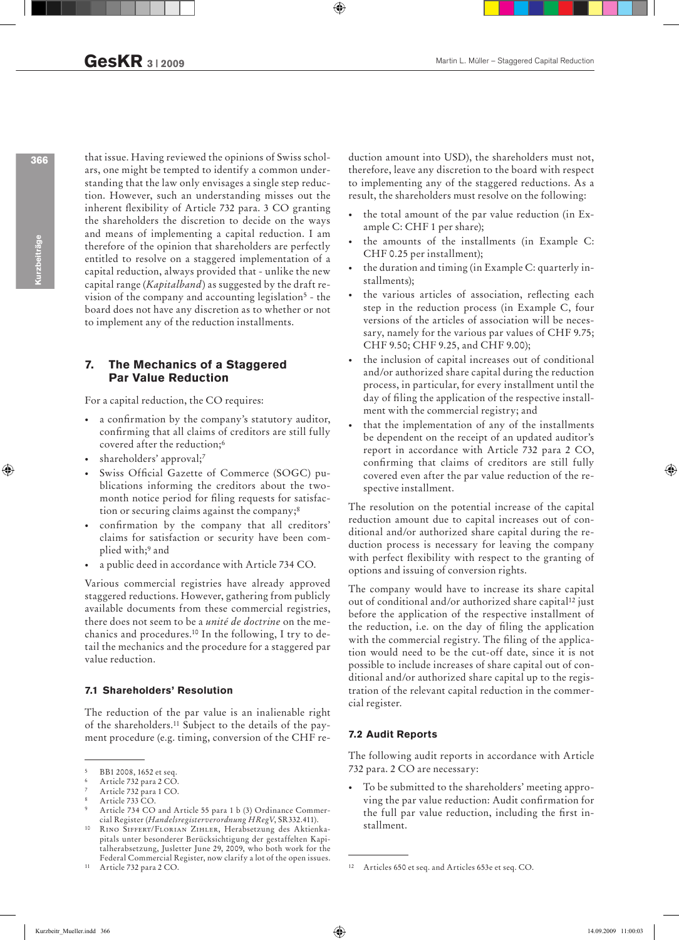366

Kurzbeiträge

that issue. Having reviewed the opinions of Swiss scholars, one might be tempted to identify a common understanding that the law only envisages a single step reduction. However, such an understanding misses out the inherent flexibility of Article 732 para. 3 CO granting the shareholders the discretion to decide on the ways and means of implementing a capital reduction. I am therefore of the opinion that shareholders are perfectly entitled to resolve on a staggered implementation of a capital reduction, always provided that - unlike the new capital range (*Kapitalband*) as suggested by the draft revision of the company and accounting legislation5 - the board does not have any discretion as to whether or not to implement any of the reduction installments.

## 7. The Mechanics of a Staggered Par Value Reduction

For a capital reduction, the CO requires:

- a confirmation by the company's statutory auditor, confirming that all claims of creditors are still fully covered after the reduction;6
- shareholders' approval;7
- Swiss Official Gazette of Commerce (SOGC) publications informing the creditors about the twomonth notice period for filing requests for satisfaction or securing claims against the company;<sup>8</sup>
- confirmation by the company that all creditors' claims for satisfaction or security have been complied with;9 and
- a public deed in accordance with Article 734 CO.

Various commercial registries have already approved staggered reductions. However, gathering from publicly available documents from these commercial registries, there does not seem to be a *unité de doctrine* on the mechanics and procedures.10 In the following, I try to detail the mechanics and the procedure for a staggered par value reduction.

#### 7.1 Shareholders' Resolution

The reduction of the par value is an inalienable right of the shareholders.11 Subject to the details of the payment procedure (e.g. timing, conversion of the CHF reduction amount into USD), the shareholders must not, therefore, leave any discretion to the board with respect to implementing any of the staggered reductions. As a result, the shareholders must resolve on the following:

- the total amount of the par value reduction (in Example C: CHF 1 per share);
- the amounts of the installments (in Example C: CHF 0.25 per installment);
- the duration and timing (in Example C: quarterly installments);
- the various articles of association, reflecting each step in the reduction process (in Example C, four versions of the articles of association will be necessary, namely for the various par values of CHF 9.75; CHF 9.50; CHF 9.25, and CHF 9.00);
- the inclusion of capital increases out of conditional and/or authorized share capital during the reduction process, in particular, for every installment until the day of filing the application of the respective installment with the commercial registry; and
- that the implementation of any of the installments be dependent on the receipt of an updated auditor's report in accordance with Article 732 para 2 CO, confirming that claims of creditors are still fully covered even after the par value reduction of the respective installment.

The resolution on the potential increase of the capital reduction amount due to capital increases out of conditional and/or authorized share capital during the reduction process is necessary for leaving the company with perfect flexibility with respect to the granting of options and issuing of conversion rights.

The company would have to increase its share capital out of conditional and/or authorized share capital<sup>12</sup> just before the application of the respective installment of the reduction, i.e. on the day of filing the application with the commercial registry. The filing of the application would need to be the cut-off date, since it is not possible to include increases of share capital out of conditional and/or authorized share capital up to the registration of the relevant capital reduction in the commercial register.

#### 7.2 Audit Reports

The following audit reports in accordance with Article 732 para. 2 CO are necessary:

To be submitted to the shareholders' meeting approving the par value reduction: Audit confirmation for the full par value reduction, including the first installment.

<sup>5</sup> BB1 2008, 1652 et seq.

<sup>6</sup> Article 732 para 2 CO.

<sup>7</sup> Article 732 para 1 CO.

Article 733 CO.

Article 734 CO and Article 55 para 1 b (3) Ordinance Commercial Register (*Handelsregisterverordnung HRegV*, SR332.411).

RINO SIFFERT/FLORIAN ZIHLER, Herabsetzung des Aktienkapitals unter besonderer Berücksichtigung der gestaffelten Kapitalherabsetzung, Jusletter June 29, 2009, who both work for the Federal Commercial Register, now clarify a lot of the open issues. 11 Article 732 para 2 CO.

<sup>12</sup> Articles 650 et seq. and Articles 653e et seq. CO.